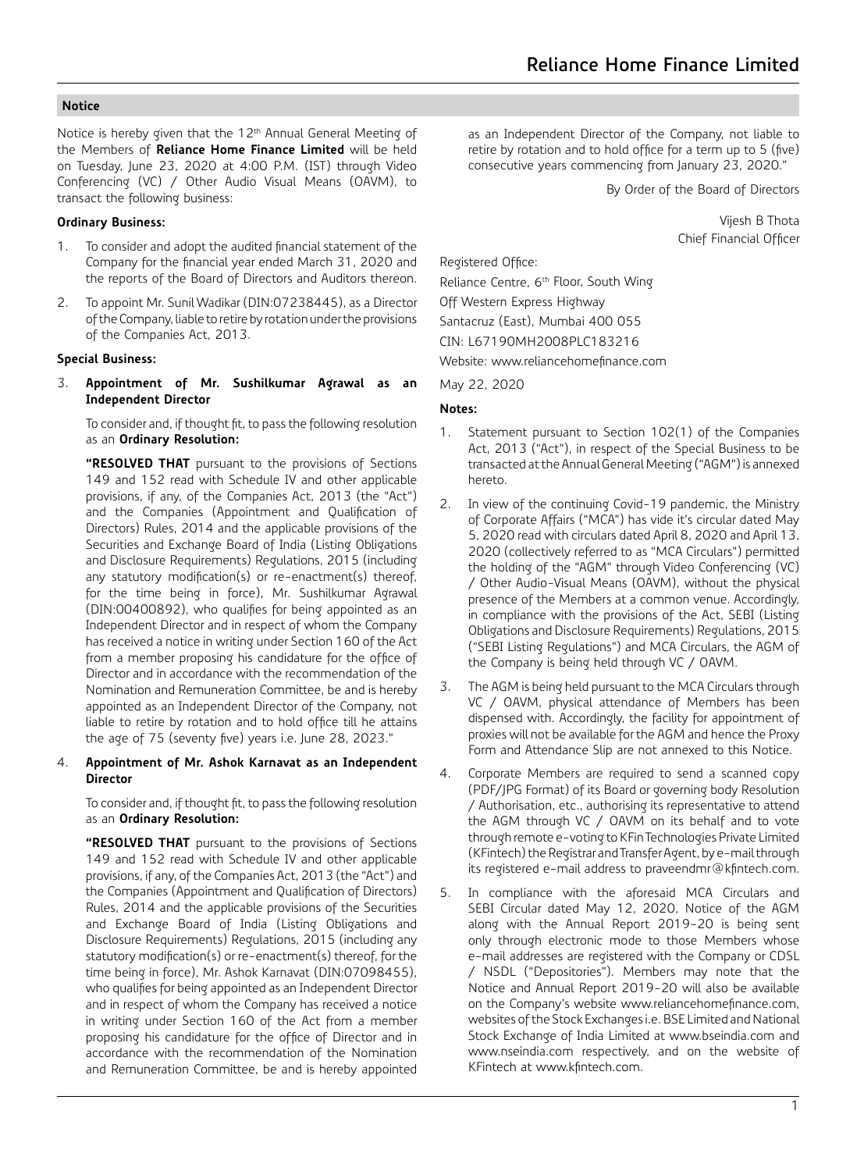Notice is hereby given that the 12<sup>th</sup> Annual General Meeting of the Members of **Reliance Home Finance Limited** will be held on Tuesday, June 23, 2020 at 4:00 P.M. (IST) through Video Conferencing (VC) / Other Audio Visual Means (OAVM), to transact the following business:

#### **Ordinary Business:**

- 1. To consider and adopt the audited financial statement of the Company for the financial year ended March 31, 2020 and the reports of the Board of Directors and Auditors thereon.
- 2. To appoint Mr. Sunil Wadikar (DIN:07238445), as a Director of the Company, liable to retire by rotation under the provisions of the Companies Act, 2013.

#### **Special Business:**

3. **Appointment of Mr. Sushilkumar Agrawal as an Independent Director**

To consider and, if thought fit, to pass the following resolution as an **Ordinary Resolution:**

**"RESOLVED THAT** pursuant to the provisions of Sections 149 and 152 read with Schedule IV and other applicable provisions, if any, of the Companies Act, 2013 (the "Act") and the Companies (Appointment and Qualification of Directors) Rules, 2014 and the applicable provisions of the Securities and Exchange Board of India (Listing Obligations and Disclosure Requirements) Regulations, 2015 (including any statutory modification(s) or re-enactment(s) thereof, for the time being in force), Mr. Sushilkumar Agrawal (DIN:00400892), who qualifies for being appointed as an Independent Director and in respect of whom the Company has received a notice in writing under Section 160 of the Act from a member proposing his candidature for the office of Director and in accordance with the recommendation of the Nomination and Remuneration Committee, be and is hereby appointed as an Independent Director of the Company, not liable to retire by rotation and to hold office till he attains the age of 75 (seventy five) years i.e. June 28, 2023."

4. **Appointment of Mr. Ashok Karnavat as an Independent Director**

To consider and, if thought fit, to pass the following resolution as an **Ordinary Resolution:**

**"RESOLVED THAT** pursuant to the provisions of Sections 149 and 152 read with Schedule IV and other applicable provisions, if any, of the Companies Act, 2013 (the "Act") and the Companies (Appointment and Qualification of Directors) Rules, 2014 and the applicable provisions of the Securities and Exchange Board of India (Listing Obligations and Disclosure Requirements) Regulations, 2015 (including any statutory modification(s) or re-enactment(s) thereof, for the time being in force), Mr. Ashok Karnavat (DIN:07098455), who qualifies for being appointed as an Independent Director and in respect of whom the Company has received a notice in writing under Section 160 of the Act from a member proposing his candidature for the office of Director and in accordance with the recommendation of the Nomination and Remuneration Committee, be and is hereby appointed as an Independent Director of the Company, not liable to retire by rotation and to hold office for a term up to 5 (five) consecutive years commencing from January 23, 2020."

By Order of the Board of Directors

 Vijesh B Thota Chief Financial Officer

Registered Office:

Reliance Centre, 6<sup>th</sup> Floor, South Wing Off Western Express Highway Santacruz (East), Mumbai 400 055 CIN: L67190MH2008PLC183216 Website: www.reliancehomefinance.com

May 22, 2020

#### **Notes:**

- 1. Statement pursuant to Section 102(1) of the Companies Act, 2013 ("Act"), in respect of the Special Business to be transacted at the Annual General Meeting ("AGM") is annexed hereto.
- 2. In view of the continuing Covid-19 pandemic, the Ministry of Corporate Affairs ("MCA") has vide it's circular dated May 5, 2020 read with circulars dated April 8, 2020 and April 13, 2020 (collectively referred to as "MCA Circulars") permitted the holding of the "AGM" through Video Conferencing (VC) / Other Audio-Visual Means (OAVM), without the physical presence of the Members at a common venue. Accordingly, in compliance with the provisions of the Act, SEBI (Listing Obligations and Disclosure Requirements) Regulations, 2015 ("SEBI Listing Regulations") and MCA Circulars, the AGM of the Company is being held through VC / OAVM.
- 3. The AGM is being held pursuant to the MCA Circulars through VC / OAVM, physical attendance of Members has been dispensed with. Accordingly, the facility for appointment of proxies will not be available for the AGM and hence the Proxy Form and Attendance Slip are not annexed to this Notice.
- 4. Corporate Members are required to send a scanned copy (PDF/JPG Format) of its Board or governing body Resolution / Authorisation, etc., authorising its representative to attend the AGM through VC / OAVM on its behalf and to vote through remote e-voting to KFin Technologies Private Limited (KFintech) the Registrar and Transfer Agent, by e-mail through its registered e-mail address to praveendmr@kfintech.com.
- 5. In compliance with the aforesaid MCA Circulars and SEBI Circular dated May 12, 2020, Notice of the AGM along with the Annual Report 2019-20 is being sent only through electronic mode to those Members whose e-mail addresses are registered with the Company or CDSL / NSDL ("Depositories"). Members may note that the Notice and Annual Report 2019-20 will also be available on the Company's website www.reliancehomefinance.com, websites of the Stock Exchanges i.e. BSE Limited and National Stock Exchange of India Limited at www.bseindia.com and www.nseindia.com respectively, and on the website of KFintech at www.kfintech.com.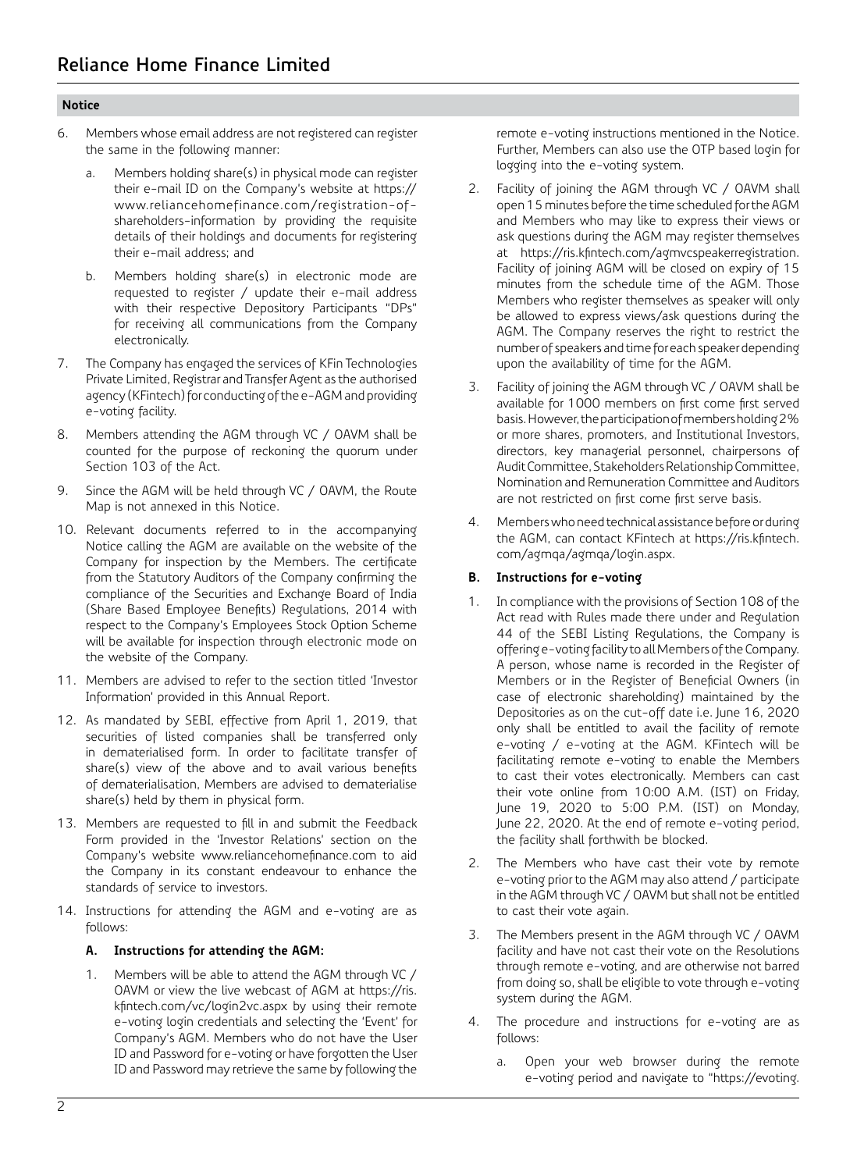- 6. Members whose email address are not registered can register the same in the following manner:
	- a. Members holding share(s) in physical mode can register their e-mail ID on the Company's website at https:// www.reliancehomefinance.com/registration-ofshareholders-information by providing the requisite details of their holdings and documents for registering their e-mail address; and
	- b. Members holding share(s) in electronic mode are requested to register / update their e-mail address with their respective Depository Participants "DPs" for receiving all communications from the Company electronically.
- 7. The Company has engaged the services of KFin Technologies Private Limited, Registrar and Transfer Agent as the authorised agency (KFintech) for conducting of the e-AGM and providing e-voting facility.
- 8. Members attending the AGM through VC / OAVM shall be counted for the purpose of reckoning the quorum under Section 103 of the Act.
- 9. Since the AGM will be held through VC / OAVM, the Route Map is not annexed in this Notice.
- 10. Relevant documents referred to in the accompanying Notice calling the AGM are available on the website of the Company for inspection by the Members. The certificate from the Statutory Auditors of the Company confirming the compliance of the Securities and Exchange Board of India (Share Based Employee Benefits) Regulations, 2014 with respect to the Company's Employees Stock Option Scheme will be available for inspection through electronic mode on the website of the Company.
- 11. Members are advised to refer to the section titled 'Investor Information' provided in this Annual Report.
- 12. As mandated by SEBI, effective from April 1, 2019, that securities of listed companies shall be transferred only in dematerialised form. In order to facilitate transfer of share(s) view of the above and to avail various benefits of dematerialisation, Members are advised to dematerialise share(s) held by them in physical form.
- 13. Members are requested to fill in and submit the Feedback Form provided in the 'Investor Relations' section on the Company's website www.reliancehomefinance.com to aid the Company in its constant endeavour to enhance the standards of service to investors.
- 14. Instructions for attending the AGM and e-voting are as follows:

### **A. Instructions for attending the AGM:**

1. Members will be able to attend the AGM through VC / OAVM or view the live webcast of AGM at https://ris. kfintech.com/vc/login2vc.aspx by using their remote e-voting login credentials and selecting the 'Event' for Company's AGM. Members who do not have the User ID and Password for e-voting or have forgotten the User ID and Password may retrieve the same by following the

remote e-voting instructions mentioned in the Notice. Further, Members can also use the OTP based login for logging into the e-voting system.

- 2. Facility of joining the AGM through VC / OAVM shall open 15 minutes before the time scheduled for the AGM and Members who may like to express their views or ask questions during the AGM may register themselves at https://ris.kfintech.com/agmvcspeakerregistration. Facility of joining AGM will be closed on expiry of 15 minutes from the schedule time of the AGM. Those Members who register themselves as speaker will only be allowed to express views/ask questions during the AGM. The Company reserves the right to restrict the number of speakers and time for each speaker depending upon the availability of time for the AGM.
- 3. Facility of joining the AGM through VC / OAVM shall be available for 1000 members on first come first served basis. However, the participation of members holding 2% or more shares, promoters, and Institutional Investors, directors, key managerial personnel, chairpersons of Audit Committee, Stakeholders Relationship Committee, Nomination and Remuneration Committee and Auditors are not restricted on first come first serve basis.
- 4. Members who need technical assistance before or during the AGM, can contact KFintech at https://ris.kfintech. com/agmqa/agmqa/login.aspx.

## **B. Instructions for e-voting**

- 1. In compliance with the provisions of Section 108 of the Act read with Rules made there under and Regulation 44 of the SEBI Listing Regulations, the Company is offering e-voting facility to all Members of the Company. A person, whose name is recorded in the Register of Members or in the Register of Beneficial Owners (in case of electronic shareholding) maintained by the Depositories as on the cut-off date i.e. June 16, 2020 only shall be entitled to avail the facility of remote e-voting / e-voting at the AGM. KFintech will be facilitating remote e-voting to enable the Members to cast their votes electronically. Members can cast their vote online from 10:00 A.M. (IST) on Friday, June 19, 2020 to 5:00 P.M. (IST) on Monday, June 22, 2020. At the end of remote e-voting period, the facility shall forthwith be blocked.
- 2. The Members who have cast their vote by remote e-voting prior to the AGM may also attend / participate in the AGM through VC / OAVM but shall not be entitled to cast their vote again.
- 3. The Members present in the AGM through VC / OAVM facility and have not cast their vote on the Resolutions through remote e-voting, and are otherwise not barred from doing so, shall be eligible to vote through e-voting system during the AGM.
- 4. The procedure and instructions for e-voting are as follows:
	- a. Open your web browser during the remote e-voting period and navigate to "https://evoting.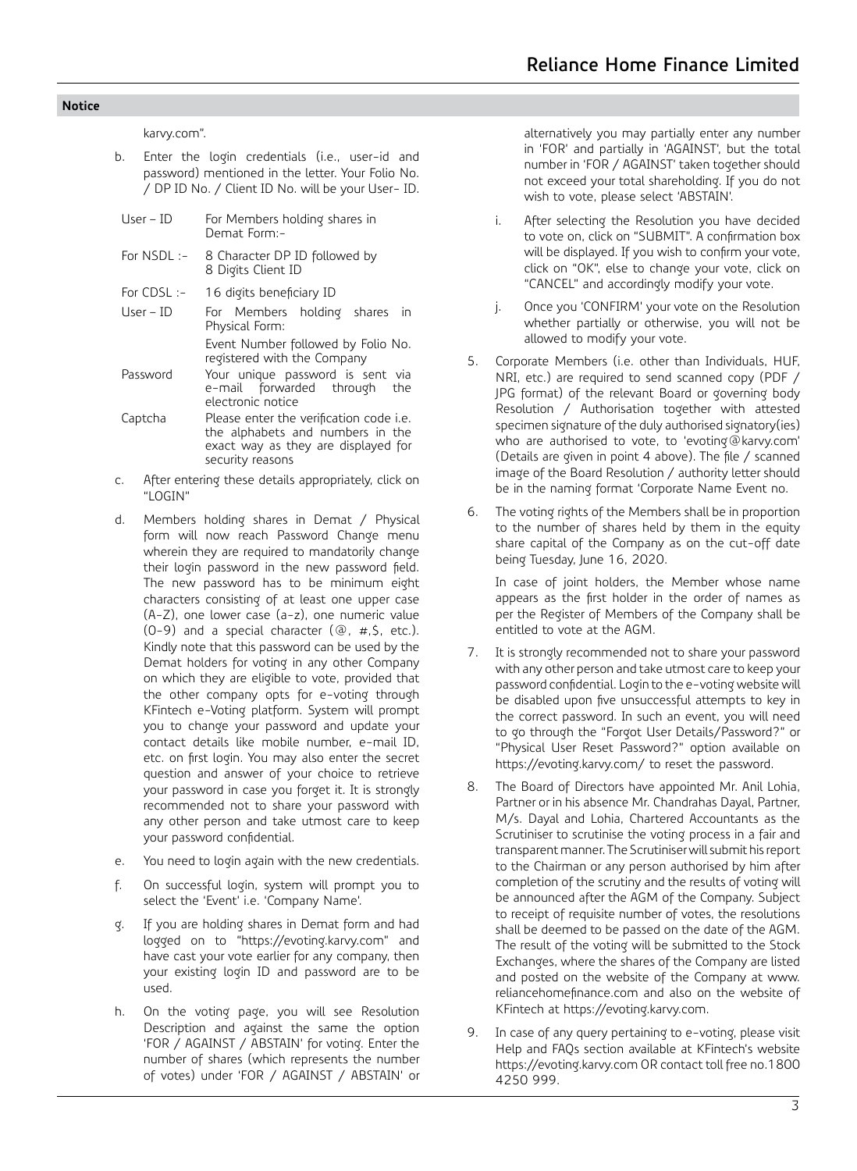karvy.com".

- b. Enter the login credentials (i.e., user-id and password) mentioned in the letter. Your Folio No. / DP ID No. / Client ID No. will be your User- ID.
- User ID For Members holding shares in Demat Form:- For NSDL :- 8 Character DP ID followed by 8 Digits Client ID For CDSL :- 16 digits beneficiary ID User – ID For Members holding shares in Physical Form:
- Event Number followed by Folio No. registered with the Company
- Password Your unique password is sent via e-mail forwarded through the electronic notice
- Captcha Please enter the verification code i.e. the alphabets and numbers in the exact way as they are displayed for security reasons
- c. After entering these details appropriately, click on "LOGIN"
- d. Members holding shares in Demat / Physical form will now reach Password Change menu wherein they are required to mandatorily change their login password in the new password field. The new password has to be minimum eight characters consisting of at least one upper case (A-Z), one lower case (a-z), one numeric value (0-9) and a special character (@, #,\$, etc.). Kindly note that this password can be used by the Demat holders for voting in any other Company on which they are eligible to vote, provided that the other company opts for e-voting through KFintech e-Voting platform. System will prompt you to change your password and update your contact details like mobile number, e-mail ID, etc. on first login. You may also enter the secret question and answer of your choice to retrieve your password in case you forget it. It is strongly recommended not to share your password with any other person and take utmost care to keep your password confidential.
- e. You need to login again with the new credentials.
- f. On successful login, system will prompt you to select the 'Event' i.e. 'Company Name'.
- g. If you are holding shares in Demat form and had logged on to "https://evoting.karvy.com" and have cast your vote earlier for any company, then your existing login ID and password are to be used.
- h. On the voting page, you will see Resolution Description and against the same the option 'FOR / AGAINST / ABSTAIN' for voting. Enter the number of shares (which represents the number of votes) under 'FOR / AGAINST / ABSTAIN' or

alternatively you may partially enter any number in 'FOR' and partially in 'AGAINST', but the total number in 'FOR / AGAINST' taken together should not exceed your total shareholding. If you do not wish to vote, please select 'ABSTAIN'.

- i. After selecting the Resolution you have decided to vote on, click on "SUBMIT". A confirmation box will be displayed. If you wish to confirm your vote, click on "OK", else to change your vote, click on "CANCEL" and accordingly modify your vote.
- j. Once you 'CONFIRM' your vote on the Resolution whether partially or otherwise, you will not be allowed to modify your vote.
- 5. Corporate Members (i.e. other than Individuals, HUF, NRI, etc.) are required to send scanned copy (PDF / JPG format) of the relevant Board or governing body Resolution / Authorisation together with attested specimen signature of the duly authorised signatory(ies) who are authorised to vote, to 'evoting@karvy.com' (Details are given in point 4 above). The file / scanned image of the Board Resolution / authority letter should be in the naming format 'Corporate Name Event no.
- 6. The voting rights of the Members shall be in proportion to the number of shares held by them in the equity share capital of the Company as on the cut-off date being Tuesday, June 16, 2020.

 In case of joint holders, the Member whose name appears as the first holder in the order of names as per the Register of Members of the Company shall be entitled to vote at the AGM.

- 7. It is strongly recommended not to share your password with any other person and take utmost care to keep your password confidential. Login to the e-voting website will be disabled upon five unsuccessful attempts to key in the correct password. In such an event, you will need to go through the "Forgot User Details/Password?" or "Physical User Reset Password?" option available on https://evoting.karvy.com/ to reset the password.
- 8. The Board of Directors have appointed Mr. Anil Lohia, Partner or in his absence Mr. Chandrahas Dayal, Partner, M/s. Dayal and Lohia, Chartered Accountants as the Scrutiniser to scrutinise the voting process in a fair and transparent manner. The Scrutiniser will submit his report to the Chairman or any person authorised by him after completion of the scrutiny and the results of voting will be announced after the AGM of the Company. Subject to receipt of requisite number of votes, the resolutions shall be deemed to be passed on the date of the AGM. The result of the voting will be submitted to the Stock Exchanges, where the shares of the Company are listed and posted on the website of the Company at www. reliancehomefinance.com and also on the website of KFintech at https://evoting.karvy.com.
- 9. In case of any query pertaining to e-voting, please visit Help and FAQs section available at KFintech's website https://evoting.karvy.com OR contact toll free no.1800 4250 999.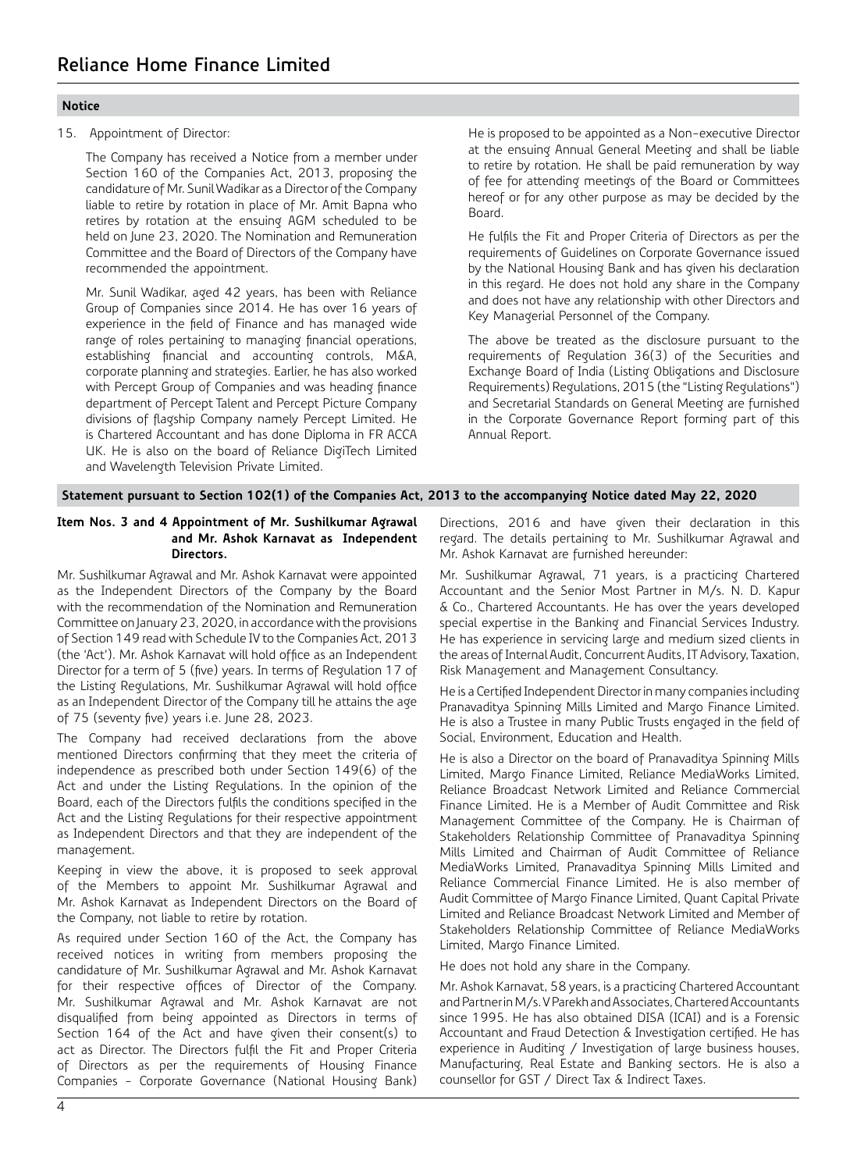15. Appointment of Director:

The Company has received a Notice from a member under Section 160 of the Companies Act, 2013, proposing the candidature of Mr. Sunil Wadikar as a Director of the Company liable to retire by rotation in place of Mr. Amit Bapna who retires by rotation at the ensuing AGM scheduled to be held on June 23, 2020. The Nomination and Remuneration Committee and the Board of Directors of the Company have recommended the appointment.

Mr. Sunil Wadikar, aged 42 years, has been with Reliance Group of Companies since 2014. He has over 16 years of experience in the field of Finance and has managed wide range of roles pertaining to managing financial operations, establishing financial and accounting controls, M&A, corporate planning and strategies. Earlier, he has also worked with Percept Group of Companies and was heading finance department of Percept Talent and Percept Picture Company divisions of flagship Company namely Percept Limited. He is Chartered Accountant and has done Diploma in FR ACCA UK. He is also on the board of Reliance DigiTech Limited and Wavelength Television Private Limited.

He is proposed to be appointed as a Non-executive Director at the ensuing Annual General Meeting and shall be liable to retire by rotation. He shall be paid remuneration by way of fee for attending meetings of the Board or Committees hereof or for any other purpose as may be decided by the Board.

He fulfils the Fit and Proper Criteria of Directors as per the requirements of Guidelines on Corporate Governance issued by the National Housing Bank and has given his declaration in this regard. He does not hold any share in the Company and does not have any relationship with other Directors and Key Managerial Personnel of the Company.

The above be treated as the disclosure pursuant to the requirements of Regulation 36(3) of the Securities and Exchange Board of India (Listing Obligations and Disclosure Requirements) Regulations, 2015 (the "Listing Regulations") and Secretarial Standards on General Meeting are furnished in the Corporate Governance Report forming part of this Annual Report.

**Statement pursuant to Section 102(1) of the Companies Act, 2013 to the accompanying Notice dated May 22, 2020**

#### **Item Nos. 3 and 4 Appointment of Mr. Sushilkumar Agrawal and Mr. Ashok Karnavat as Independent Directors.**

Mr. Sushilkumar Agrawal and Mr. Ashok Karnavat were appointed as the Independent Directors of the Company by the Board with the recommendation of the Nomination and Remuneration Committee on January 23, 2020, in accordance with the provisions of Section 149 read with Schedule IV to the Companies Act, 2013 (the 'Act'). Mr. Ashok Karnavat will hold office as an Independent Director for a term of 5 (five) years. In terms of Regulation 17 of the Listing Regulations, Mr. Sushilkumar Agrawal will hold office as an Independent Director of the Company till he attains the age of 75 (seventy five) years i.e. June 28, 2023.

The Company had received declarations from the above mentioned Directors confirming that they meet the criteria of independence as prescribed both under Section 149(6) of the Act and under the Listing Regulations. In the opinion of the Board, each of the Directors fulfils the conditions specified in the Act and the Listing Regulations for their respective appointment as Independent Directors and that they are independent of the management.

Keeping in view the above, it is proposed to seek approval of the Members to appoint Mr. Sushilkumar Agrawal and Mr. Ashok Karnavat as Independent Directors on the Board of the Company, not liable to retire by rotation.

As required under Section 160 of the Act, the Company has received notices in writing from members proposing the candidature of Mr. Sushilkumar Agrawal and Mr. Ashok Karnavat for their respective offices of Director of the Company. Mr. Sushilkumar Agrawal and Mr. Ashok Karnavat are not disqualified from being appointed as Directors in terms of Section 164 of the Act and have given their consent(s) to act as Director. The Directors fulfil the Fit and Proper Criteria of Directors as per the requirements of Housing Finance Companies - Corporate Governance (National Housing Bank) Directions, 2016 and have given their declaration in this regard. The details pertaining to Mr. Sushilkumar Agrawal and Mr. Ashok Karnavat are furnished hereunder:

Mr. Sushilkumar Agrawal, 71 years, is a practicing Chartered Accountant and the Senior Most Partner in M/s. N. D. Kapur & Co., Chartered Accountants. He has over the years developed special expertise in the Banking and Financial Services Industry. He has experience in servicing large and medium sized clients in the areas of Internal Audit, Concurrent Audits, IT Advisory, Taxation, Risk Management and Management Consultancy.

He is a Certified Independent Director in many companies including Pranavaditya Spinning Mills Limited and Margo Finance Limited. He is also a Trustee in many Public Trusts engaged in the field of Social, Environment, Education and Health.

He is also a Director on the board of Pranavaditya Spinning Mills Limited, Margo Finance Limited, Reliance MediaWorks Limited, Reliance Broadcast Network Limited and Reliance Commercial Finance Limited. He is a Member of Audit Committee and Risk Management Committee of the Company. He is Chairman of Stakeholders Relationship Committee of Pranavaditya Spinning Mills Limited and Chairman of Audit Committee of Reliance MediaWorks Limited, Pranavaditya Spinning Mills Limited and Reliance Commercial Finance Limited. He is also member of Audit Committee of Margo Finance Limited, Quant Capital Private Limited and Reliance Broadcast Network Limited and Member of Stakeholders Relationship Committee of Reliance MediaWorks Limited, Margo Finance Limited.

He does not hold any share in the Company.

Mr. Ashok Karnavat, 58 years, is a practicing Chartered Accountant and Partner in M/s. V Parekh and Associates, Chartered Accountants since 1995. He has also obtained DISA (ICAI) and is a Forensic Accountant and Fraud Detection & Investigation certified. He has experience in Auditing / Investigation of large business houses, Manufacturing, Real Estate and Banking sectors. He is also a counsellor for GST / Direct Tax & Indirect Taxes.